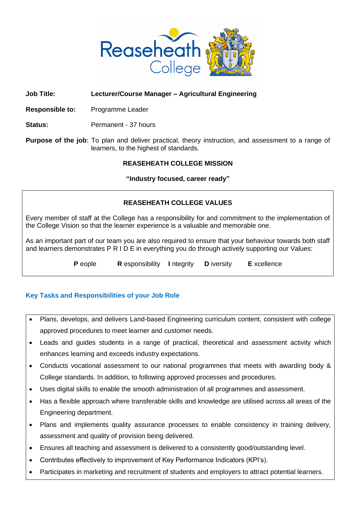

#### **Job Title: Lecturer/Course Manager – Agricultural Engineering**

**Responsible to:** Programme Leader

**Status:** Permanent - 37 hours

**Purpose of the job**: To plan and deliver practical, theory instruction, and assessment to a range of learners, to the highest of standards.

#### **REASEHEATH COLLEGE MISSION**

**"Industry focused, career ready"**

### **REASEHEATH COLLEGE VALUES**

Every member of staff at the College has a responsibility for and commitment to the implementation of the College Vision so that the learner experience is a valuable and memorable one.

As an important part of our team you are also required to ensure that your behaviour towards both staff and learners demonstrates P R I D E in everything you do through actively supporting our Values:

**P** eople **R** esponsibility **I** ntegrity **D** iversity **E** xcellence

### **Key Tasks and Responsibilities of your Job Role**

- Plans, develops, and delivers Land-based Engineering curriculum content, consistent with college approved procedures to meet learner and customer needs.
- Leads and guides students in a range of practical, theoretical and assessment activity which enhances learning and exceeds industry expectations.
- Conducts vocational assessment to our national programmes that meets with awarding body & College standards. In addition, to following approved processes and procedures.
- Uses digital skills to enable the smooth administration of all programmes and assessment.
- Has a flexible approach where transferable skills and knowledge are utilised across all areas of the Engineering department.
- Plans and implements quality assurance processes to enable consistency in training delivery, assessment and quality of provision being delivered.
- Ensures all teaching and assessment is delivered to a consistently good/outstanding level.
- Contributes effectively to improvement of Key Performance Indicators (KPI's).
- Participates in marketing and recruitment of students and employers to attract potential learners.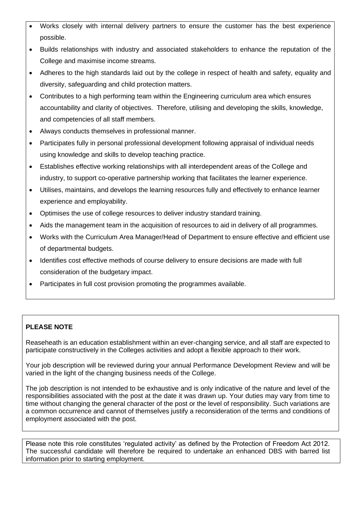- Works closely with internal delivery partners to ensure the customer has the best experience possible.
- Builds relationships with industry and associated stakeholders to enhance the reputation of the College and maximise income streams.
- Adheres to the high standards laid out by the college in respect of health and safety, equality and diversity, safeguarding and child protection matters.
- Contributes to a high performing team within the Engineering curriculum area which ensures accountability and clarity of objectives. Therefore, utilising and developing the skills, knowledge, and competencies of all staff members.
- Always conducts themselves in professional manner.
- Participates fully in personal professional development following appraisal of individual needs using knowledge and skills to develop teaching practice.
- Establishes effective working relationships with all interdependent areas of the College and industry, to support co-operative partnership working that facilitates the learner experience.
- Utilises, maintains, and develops the learning resources fully and effectively to enhance learner experience and employability.
- Optimises the use of college resources to deliver industry standard training.
- Aids the management team in the acquisition of resources to aid in delivery of all programmes.
- Works with the Curriculum Area Manager/Head of Department to ensure effective and efficient use of departmental budgets.
- Identifies cost effective methods of course delivery to ensure decisions are made with full consideration of the budgetary impact.
- Participates in full cost provision promoting the programmes available.

# **PLEASE NOTE**

Reaseheath is an education establishment within an ever-changing service, and all staff are expected to participate constructively in the Colleges activities and adopt a flexible approach to their work.

Your job description will be reviewed during your annual Performance Development Review and will be varied in the light of the changing business needs of the College.

The job description is not intended to be exhaustive and is only indicative of the nature and level of the responsibilities associated with the post at the date it was drawn up. Your duties may vary from time to time without changing the general character of the post or the level of responsibility. Such variations are a common occurrence and cannot of themselves justify a reconsideration of the terms and conditions of employment associated with the post.

Please note this role constitutes 'regulated activity' as defined by the Protection of Freedom Act 2012. The successful candidate will therefore be required to undertake an enhanced DBS with barred list information prior to starting employment.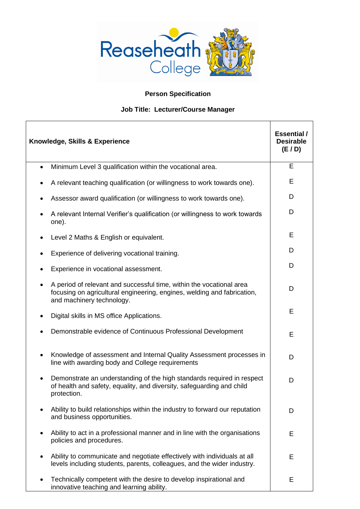

# **Person Specification**

## **Job Title: Lecturer/Course Manager**

| Knowledge, Skills & Experience                                                                                                                                                            | <b>Essential</b> /<br><b>Desirable</b><br>(E/D) |
|-------------------------------------------------------------------------------------------------------------------------------------------------------------------------------------------|-------------------------------------------------|
| Minimum Level 3 qualification within the vocational area.<br>$\bullet$                                                                                                                    | Е                                               |
| A relevant teaching qualification (or willingness to work towards one).                                                                                                                   | Е                                               |
| Assessor award qualification (or willingness to work towards one).                                                                                                                        | D                                               |
| A relevant Internal Verifier's qualification (or willingness to work towards<br>$\bullet$<br>one).                                                                                        | D                                               |
| Level 2 Maths & English or equivalent.                                                                                                                                                    | Е                                               |
| Experience of delivering vocational training.                                                                                                                                             | D                                               |
| Experience in vocational assessment.                                                                                                                                                      | D                                               |
| A period of relevant and successful time, within the vocational area<br>$\bullet$<br>focusing on agricultural engineering, engines, welding and fabrication,<br>and machinery technology. | D                                               |
| Digital skills in MS office Applications.                                                                                                                                                 | E                                               |
| Demonstrable evidence of Continuous Professional Development                                                                                                                              | E                                               |
| Knowledge of assessment and Internal Quality Assessment processes in<br>line with awarding body and College requirements                                                                  | D                                               |
| Demonstrate an understanding of the high standards required in respect<br>$\bullet$<br>of health and safety, equality, and diversity, safeguarding and child<br>protection.               | D                                               |
| Ability to build relationships within the industry to forward our reputation<br>and business opportunities.                                                                               | D                                               |
| Ability to act in a professional manner and in line with the organisations<br>$\bullet$<br>policies and procedures.                                                                       | Е                                               |
| Ability to communicate and negotiate effectively with individuals at all<br>$\bullet$<br>levels including students, parents, colleagues, and the wider industry.                          | E                                               |
| Technically competent with the desire to develop inspirational and<br>innovative teaching and learning ability.                                                                           | Е                                               |